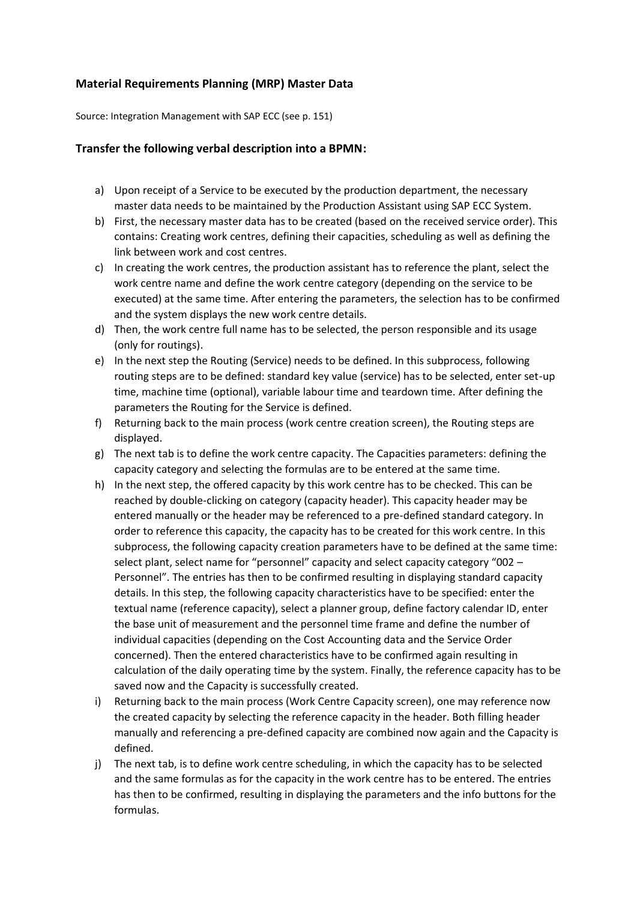## **Material Requirements Planning (MRP) Master Data**

Source: Integration Management with SAP ECC (see p. 151)

## **Transfer the following verbal description into a BPMN:**

- a) Upon receipt of a Service to be executed by the production department, the necessary master data needs to be maintained by the Production Assistant using SAP ECC System.
- b) First, the necessary master data has to be created (based on the received service order). This contains: Creating work centres, defining their capacities, scheduling as well as defining the link between work and cost centres.
- c) In creating the work centres, the production assistant has to reference the plant, select the work centre name and define the work centre category (depending on the service to be executed) at the same time. After entering the parameters, the selection has to be confirmed and the system displays the new work centre details.
- d) Then, the work centre full name has to be selected, the person responsible and its usage (only for routings).
- e) In the next step the Routing (Service) needs to be defined. In this subprocess, following routing steps are to be defined: standard key value (service) has to be selected, enter set-up time, machine time (optional), variable labour time and teardown time. After defining the parameters the Routing for the Service is defined.
- f) Returning back to the main process (work centre creation screen), the Routing steps are displayed.
- g) The next tab is to define the work centre capacity. The Capacities parameters: defining the capacity category and selecting the formulas are to be entered at the same time.
- h) In the next step, the offered capacity by this work centre has to be checked. This can be reached by double-clicking on category (capacity header). This capacity header may be entered manually or the header may be referenced to a pre-defined standard category. In order to reference this capacity, the capacity has to be created for this work centre. In this subprocess, the following capacity creation parameters have to be defined at the same time: select plant, select name for "personnel" capacity and select capacity category "002 – Personnel". The entries has then to be confirmed resulting in displaying standard capacity details. In this step, the following capacity characteristics have to be specified: enter the textual name (reference capacity), select a planner group, define factory calendar ID, enter the base unit of measurement and the personnel time frame and define the number of individual capacities (depending on the Cost Accounting data and the Service Order concerned). Then the entered characteristics have to be confirmed again resulting in calculation of the daily operating time by the system. Finally, the reference capacity has to be saved now and the Capacity is successfully created.
- i) Returning back to the main process (Work Centre Capacity screen), one may reference now the created capacity by selecting the reference capacity in the header. Both filling header manually and referencing a pre-defined capacity are combined now again and the Capacity is defined.
- j) The next tab, is to define work centre scheduling, in which the capacity has to be selected and the same formulas as for the capacity in the work centre has to be entered. The entries has then to be confirmed, resulting in displaying the parameters and the info buttons for the formulas.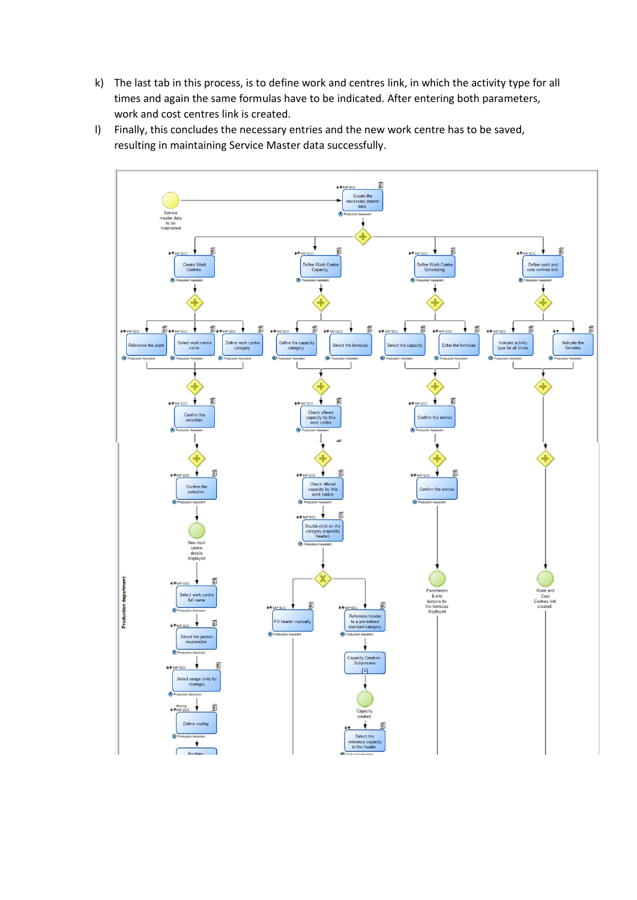- k) The last tab in this process, is to define work and centres link, in which the activity type for all times and again the same formulas have to be indicated. After entering both parameters, work and cost centres link is created.
- l) Finally, this concludes the necessary entries and the new work centre has to be saved, resulting in maintaining Service Master data successfully.

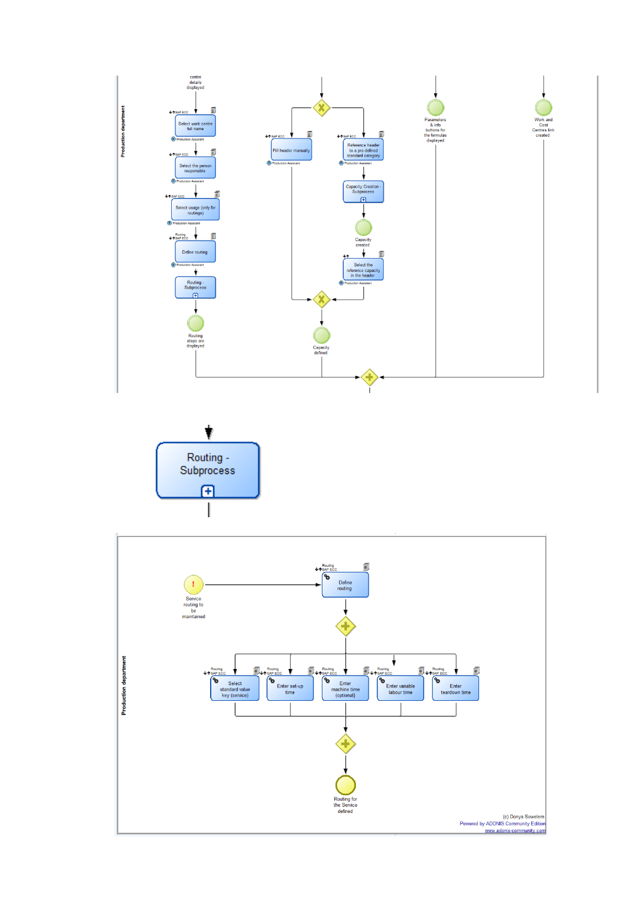